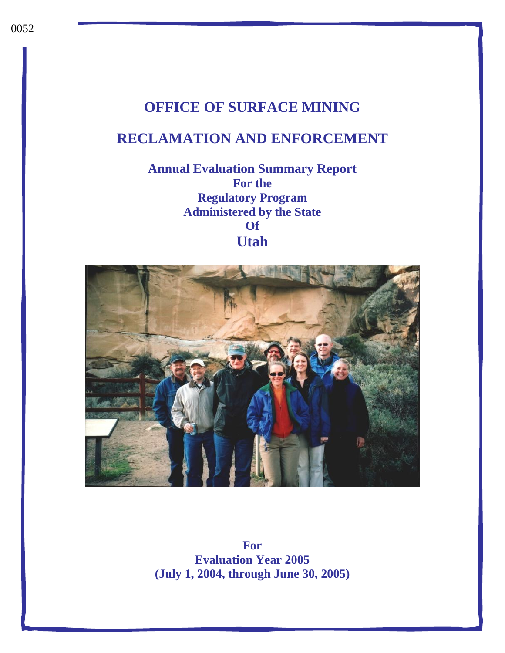# **OFFICE OF SURFACE MINING**

# **RECLAMATION AND ENFORCEMENT**

**Annual Evaluation Summary Report For the Regulatory Program Administered by the State Of Utah**



**For Evaluation Year 2005 (July 1, 2004, through June 30, 2005)**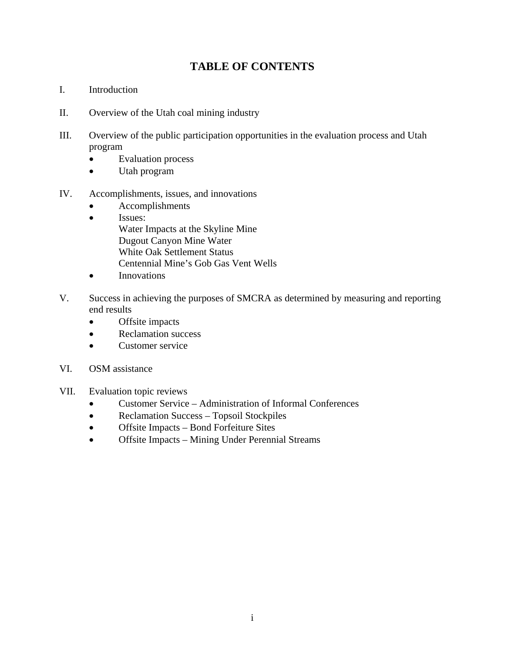### **TABLE OF CONTENTS**

- I. Introduction
- II. Overview of the Utah coal mining industry
- III. Overview of the public participation opportunities in the evaluation process and Utah program
	- Evaluation process
	- Utah program
- IV. Accomplishments, issues, and innovations
	- Accomplishments
	- Issues:

 Water Impacts at the Skyline Mine Dugout Canyon Mine Water White Oak Settlement Status Centennial Mine's Gob Gas Vent Wells

- Innovations
- V. Success in achieving the purposes of SMCRA as determined by measuring and reporting end results
	- Offsite impacts
	- Reclamation success
	- Customer service
- VI. OSM assistance
- VII. Evaluation topic reviews
	- Customer Service Administration of Informal Conferences
	- Reclamation Success Topsoil Stockpiles
	- Offsite Impacts Bond Forfeiture Sites
	- Offsite Impacts Mining Under Perennial Streams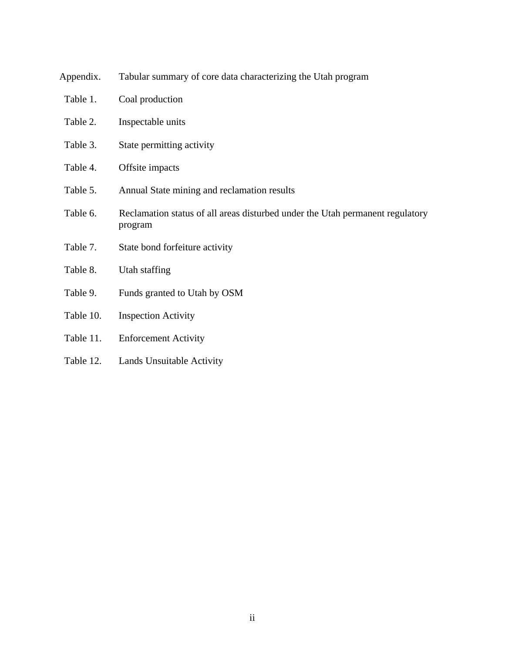| Tabular summary of core data characterizing the Utah program                             |
|------------------------------------------------------------------------------------------|
| Coal production                                                                          |
| Inspectable units                                                                        |
| State permitting activity                                                                |
| Offsite impacts                                                                          |
| Annual State mining and reclamation results                                              |
| Reclamation status of all areas disturbed under the Utah permanent regulatory<br>program |
| State bond forfeiture activity                                                           |
| Utah staffing                                                                            |
| Funds granted to Utah by OSM                                                             |
| <b>Inspection Activity</b>                                                               |
| <b>Enforcement Activity</b>                                                              |
|                                                                                          |

Table 12. Lands Unsuitable Activity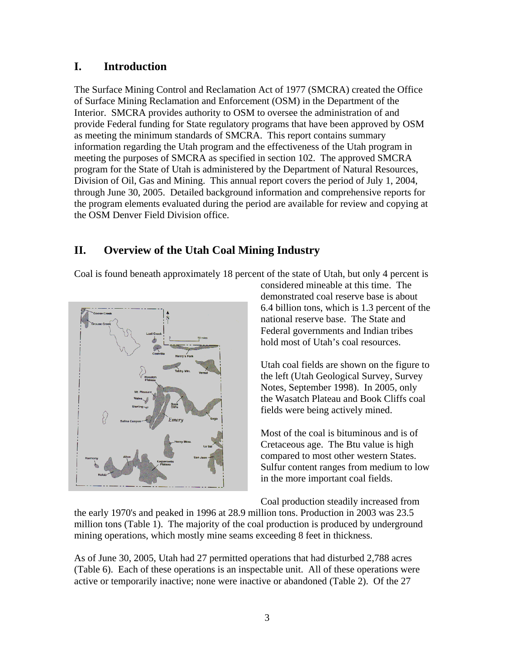### **I. Introduction**

The Surface Mining Control and Reclamation Act of 1977 (SMCRA) created the Office of Surface Mining Reclamation and Enforcement (OSM) in the Department of the Interior. SMCRA provides authority to OSM to oversee the administration of and provide Federal funding for State regulatory programs that have been approved by OSM as meeting the minimum standards of SMCRA. This report contains summary information regarding the Utah program and the effectiveness of the Utah program in meeting the purposes of SMCRA as specified in section 102. The approved SMCRA program for the State of Utah is administered by the Department of Natural Resources, Division of Oil, Gas and Mining. This annual report covers the period of July 1, 2004, through June 30, 2005. Detailed background information and comprehensive reports for the program elements evaluated during the period are available for review and copying at the OSM Denver Field Division office.

### **II. Overview of the Utah Coal Mining Industry**

Coal is found beneath approximately 18 percent of the state of Utah, but only 4 percent is



considered mineable at this time. The demonstrated coal reserve base is about 6.4 billion tons, which is 1.3 percent of the national reserve base. The State and Federal governments and Indian tribes hold most of Utah's coal resources.

Utah coal fields are shown on the figure to the left (Utah Geological Survey, Survey Notes, September 1998). In 2005, only the Wasatch Plateau and Book Cliffs coal fields were being actively mined.

Most of the coal is bituminous and is of Cretaceous age. The Btu value is high compared to most other western States. Sulfur content ranges from medium to low in the more important coal fields.

Coal production steadily increased from

the early 1970's and peaked in 1996 at 28.9 million tons. Production in 2003 was 23.5 million tons (Table 1). The majority of the coal production is produced by underground mining operations, which mostly mine seams exceeding 8 feet in thickness.

As of June 30, 2005, Utah had 27 permitted operations that had disturbed 2,788 acres (Table 6). Each of these operations is an inspectable unit. All of these operations were active or temporarily inactive; none were inactive or abandoned (Table 2). Of the 27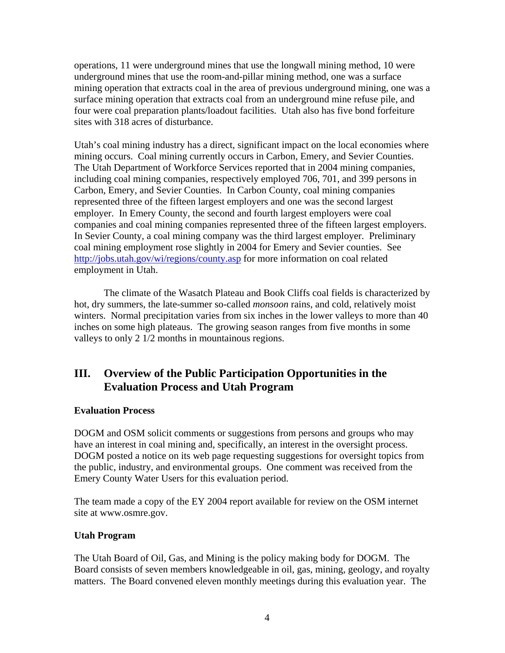operations, 11 were underground mines that use the longwall mining method, 10 were underground mines that use the room-and-pillar mining method, one was a surface mining operation that extracts coal in the area of previous underground mining, one was a surface mining operation that extracts coal from an underground mine refuse pile, and four were coal preparation plants/loadout facilities. Utah also has five bond forfeiture sites with 318 acres of disturbance.

Utah's coal mining industry has a direct, significant impact on the local economies where mining occurs. Coal mining currently occurs in Carbon, Emery, and Sevier Counties. The Utah Department of Workforce Services reported that in 2004 mining companies, including coal mining companies, respectively employed 706, 701, and 399 persons in Carbon, Emery, and Sevier Counties. In Carbon County, coal mining companies represented three of the fifteen largest employers and one was the second largest employer. In Emery County, the second and fourth largest employers were coal companies and coal mining companies represented three of the fifteen largest employers. In Sevier County, a coal mining company was the third largest employer. Preliminary coal mining employment rose slightly in 2004 for Emery and Sevier counties. See <http://jobs.utah.gov/wi/regions/county.asp> for more information on coal related employment in Utah.

The climate of the Wasatch Plateau and Book Cliffs coal fields is characterized by hot, dry summers, the late-summer so-called *monsoon* rains, and cold, relatively moist winters. Normal precipitation varies from six inches in the lower valleys to more than 40 inches on some high plateaus. The growing season ranges from five months in some valleys to only 2 1/2 months in mountainous regions.

### **III. Overview of the Public Participation Opportunities in the Evaluation Process and Utah Program**

### **Evaluation Process**

DOGM and OSM solicit comments or suggestions from persons and groups who may have an interest in coal mining and, specifically, an interest in the oversight process. DOGM posted a notice on its web page requesting suggestions for oversight topics from the public, industry, and environmental groups. One comment was received from the Emery County Water Users for this evaluation period.

The team made a copy of the EY 2004 report available for review on the OSM internet site at www.osmre.gov.

#### **Utah Program**

The Utah Board of Oil, Gas, and Mining is the policy making body for DOGM. The Board consists of seven members knowledgeable in oil, gas, mining, geology, and royalty matters. The Board convened eleven monthly meetings during this evaluation year. The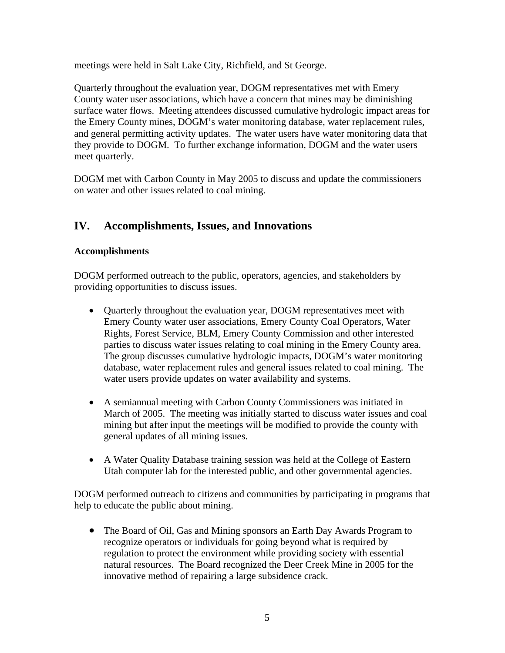meetings were held in Salt Lake City, Richfield, and St George.

Quarterly throughout the evaluation year, DOGM representatives met with Emery County water user associations, which have a concern that mines may be diminishing surface water flows. Meeting attendees discussed cumulative hydrologic impact areas for the Emery County mines, DOGM's water monitoring database, water replacement rules, and general permitting activity updates. The water users have water monitoring data that they provide to DOGM. To further exchange information, DOGM and the water users meet quarterly.

DOGM met with Carbon County in May 2005 to discuss and update the commissioners on water and other issues related to coal mining.

### **IV. Accomplishments, Issues, and Innovations**

### **Accomplishments**

DOGM performed outreach to the public, operators, agencies, and stakeholders by providing opportunities to discuss issues.

- Quarterly throughout the evaluation year, DOGM representatives meet with Emery County water user associations, Emery County Coal Operators, Water Rights, Forest Service, BLM, Emery County Commission and other interested parties to discuss water issues relating to coal mining in the Emery County area. The group discusses cumulative hydrologic impacts, DOGM's water monitoring database, water replacement rules and general issues related to coal mining. The water users provide updates on water availability and systems.
- A semiannual meeting with Carbon County Commissioners was initiated in March of 2005. The meeting was initially started to discuss water issues and coal mining but after input the meetings will be modified to provide the county with general updates of all mining issues.
- A Water Quality Database training session was held at the College of Eastern Utah computer lab for the interested public, and other governmental agencies.

DOGM performed outreach to citizens and communities by participating in programs that help to educate the public about mining.

• The Board of Oil, Gas and Mining sponsors an Earth Day Awards Program to recognize operators or individuals for going beyond what is required by regulation to protect the environment while providing society with essential natural resources. The Board recognized the Deer Creek Mine in 2005 for the innovative method of repairing a large subsidence crack.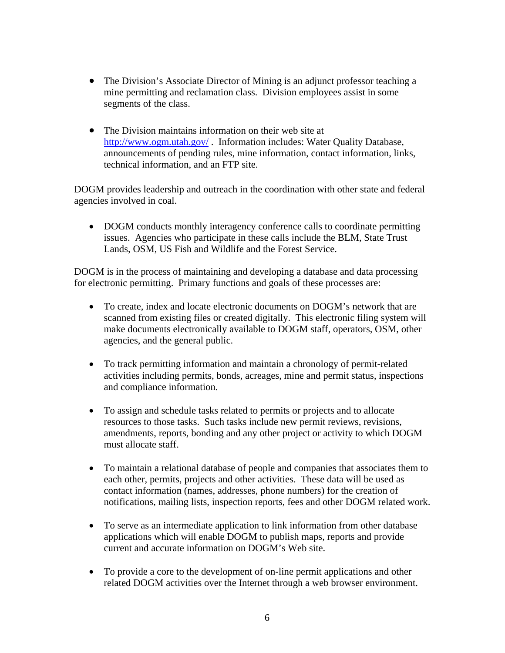- The Division's Associate Director of Mining is an adjunct professor teaching a mine permitting and reclamation class. Division employees assist in some segments of the class.
- The Division maintains information on their web site at <http://www.ogm.utah.gov/> . Information includes: Water Quality Database, announcements of pending rules, mine information, contact information, links, technical information, and an FTP site.

DOGM provides leadership and outreach in the coordination with other state and federal agencies involved in coal.

• DOGM conducts monthly interagency conference calls to coordinate permitting issues. Agencies who participate in these calls include the BLM, State Trust Lands, OSM, US Fish and Wildlife and the Forest Service.

DOGM is in the process of maintaining and developing a database and data processing for electronic permitting. Primary functions and goals of these processes are:

- To create, index and locate electronic documents on DOGM's network that are scanned from existing files or created digitally. This electronic filing system will make documents electronically available to DOGM staff, operators, OSM, other agencies, and the general public.
- To track permitting information and maintain a chronology of permit-related activities including permits, bonds, acreages, mine and permit status, inspections and compliance information.
- To assign and schedule tasks related to permits or projects and to allocate resources to those tasks. Such tasks include new permit reviews, revisions, amendments, reports, bonding and any other project or activity to which DOGM must allocate staff.
- To maintain a relational database of people and companies that associates them to each other, permits, projects and other activities. These data will be used as contact information (names, addresses, phone numbers) for the creation of notifications, mailing lists, inspection reports, fees and other DOGM related work.
- To serve as an intermediate application to link information from other database applications which will enable DOGM to publish maps, reports and provide current and accurate information on DOGM's Web site.
- To provide a core to the development of on-line permit applications and other related DOGM activities over the Internet through a web browser environment.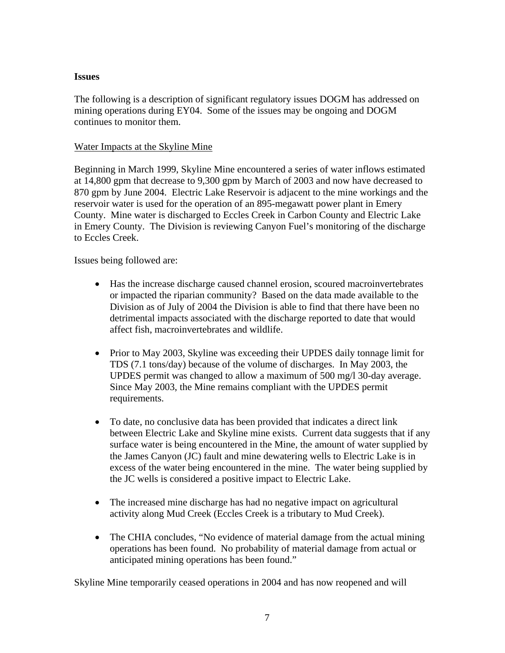#### **Issues**

The following is a description of significant regulatory issues DOGM has addressed on mining operations during EY04. Some of the issues may be ongoing and DOGM continues to monitor them.

#### Water Impacts at the Skyline Mine

Beginning in March 1999, Skyline Mine encountered a series of water inflows estimated at 14,800 gpm that decrease to 9,300 gpm by March of 2003 and now have decreased to 870 gpm by June 2004. Electric Lake Reservoir is adjacent to the mine workings and the reservoir water is used for the operation of an 895-megawatt power plant in Emery County. Mine water is discharged to Eccles Creek in Carbon County and Electric Lake in Emery County. The Division is reviewing Canyon Fuel's monitoring of the discharge to Eccles Creek.

Issues being followed are:

- Has the increase discharge caused channel erosion, scoured macroinvertebrates or impacted the riparian community? Based on the data made available to the Division as of July of 2004 the Division is able to find that there have been no detrimental impacts associated with the discharge reported to date that would affect fish, macroinvertebrates and wildlife.
- Prior to May 2003, Skyline was exceeding their UPDES daily tonnage limit for TDS (7.1 tons/day) because of the volume of discharges. In May 2003, the UPDES permit was changed to allow a maximum of 500 mg/l 30-day average. Since May 2003, the Mine remains compliant with the UPDES permit requirements.
- To date, no conclusive data has been provided that indicates a direct link between Electric Lake and Skyline mine exists. Current data suggests that if any surface water is being encountered in the Mine, the amount of water supplied by the James Canyon (JC) fault and mine dewatering wells to Electric Lake is in excess of the water being encountered in the mine. The water being supplied by the JC wells is considered a positive impact to Electric Lake.
- The increased mine discharge has had no negative impact on agricultural activity along Mud Creek (Eccles Creek is a tributary to Mud Creek).
- The CHIA concludes, "No evidence of material damage from the actual mining operations has been found. No probability of material damage from actual or anticipated mining operations has been found."

Skyline Mine temporarily ceased operations in 2004 and has now reopened and will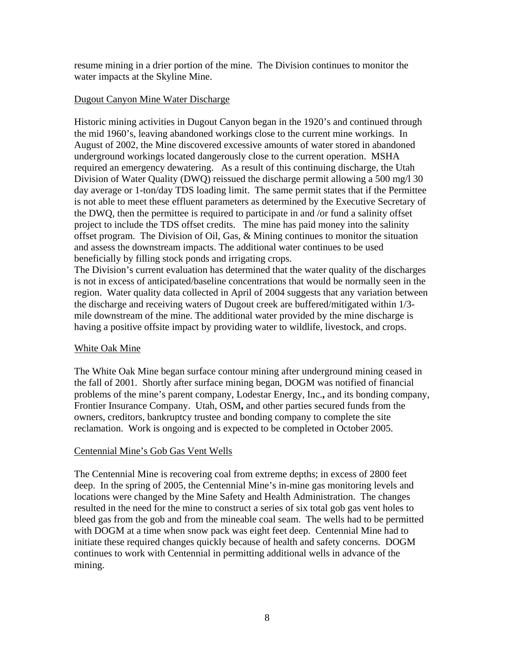resume mining in a drier portion of the mine. The Division continues to monitor the water impacts at the Skyline Mine.

#### Dugout Canyon Mine Water Discharge

Historic mining activities in Dugout Canyon began in the 1920's and continued through the mid 1960's, leaving abandoned workings close to the current mine workings. In August of 2002, the Mine discovered excessive amounts of water stored in abandoned underground workings located dangerously close to the current operation. MSHA required an emergency dewatering. As a result of this continuing discharge, the Utah Division of Water Quality (DWQ) reissued the discharge permit allowing a 500 mg/l 30 day average or 1-ton/day TDS loading limit. The same permit states that if the Permittee is not able to meet these effluent parameters as determined by the Executive Secretary of the DWQ, then the permittee is required to participate in and /or fund a salinity offset project to include the TDS offset credits. The mine has paid money into the salinity offset program. The Division of Oil, Gas, & Mining continues to monitor the situation and assess the downstream impacts. The additional water continues to be used beneficially by filling stock ponds and irrigating crops.

The Division's current evaluation has determined that the water quality of the discharges is not in excess of anticipated/baseline concentrations that would be normally seen in the region. Water quality data collected in April of 2004 suggests that any variation between the discharge and receiving waters of Dugout creek are buffered/mitigated within 1/3 mile downstream of the mine. The additional water provided by the mine discharge is having a positive offsite impact by providing water to wildlife, livestock, and crops.

### White Oak Mine

The White Oak Mine began surface contour mining after underground mining ceased in the fall of 2001. Shortly after surface mining began, DOGM was notified of financial problems of the mine's parent company, Lodestar Energy, Inc.**,** and its bonding company, Frontier Insurance Company. Utah, OSM**,** and other parties secured funds from the owners, creditors, bankruptcy trustee and bonding company to complete the site reclamation. Work is ongoing and is expected to be completed in October 2005.

#### Centennial Mine's Gob Gas Vent Wells

The Centennial Mine is recovering coal from extreme depths; in excess of 2800 feet deep. In the spring of 2005, the Centennial Mine's in-mine gas monitoring levels and locations were changed by the Mine Safety and Health Administration. The changes resulted in the need for the mine to construct a series of six total gob gas vent holes to bleed gas from the gob and from the mineable coal seam. The wells had to be permitted with DOGM at a time when snow pack was eight feet deep. Centennial Mine had to initiate these required changes quickly because of health and safety concerns. DOGM continues to work with Centennial in permitting additional wells in advance of the mining.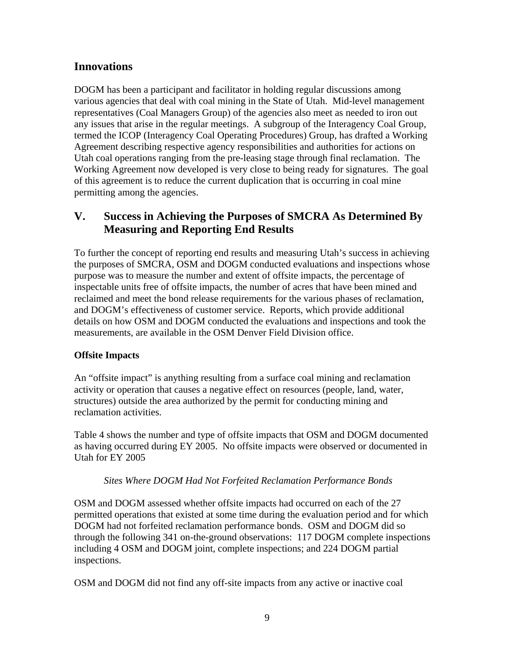### **Innovations**

DOGM has been a participant and facilitator in holding regular discussions among various agencies that deal with coal mining in the State of Utah. Mid-level management representatives (Coal Managers Group) of the agencies also meet as needed to iron out any issues that arise in the regular meetings. A subgroup of the Interagency Coal Group, termed the ICOP (Interagency Coal Operating Procedures) Group, has drafted a Working Agreement describing respective agency responsibilities and authorities for actions on Utah coal operations ranging from the pre-leasing stage through final reclamation. The Working Agreement now developed is very close to being ready for signatures. The goal of this agreement is to reduce the current duplication that is occurring in coal mine permitting among the agencies.

### **V. Success in Achieving the Purposes of SMCRA As Determined By Measuring and Reporting End Results**

To further the concept of reporting end results and measuring Utah's success in achieving the purposes of SMCRA, OSM and DOGM conducted evaluations and inspections whose purpose was to measure the number and extent of offsite impacts, the percentage of inspectable units free of offsite impacts, the number of acres that have been mined and reclaimed and meet the bond release requirements for the various phases of reclamation, and DOGM's effectiveness of customer service. Reports, which provide additional details on how OSM and DOGM conducted the evaluations and inspections and took the measurements, are available in the OSM Denver Field Division office.

### **Offsite Impacts**

An "offsite impact" is anything resulting from a surface coal mining and reclamation activity or operation that causes a negative effect on resources (people, land, water, structures) outside the area authorized by the permit for conducting mining and reclamation activities.

Table 4 shows the number and type of offsite impacts that OSM and DOGM documented as having occurred during EY 2005. No offsite impacts were observed or documented in Utah for EY 2005

### *Sites Where DOGM Had Not Forfeited Reclamation Performance Bonds*

OSM and DOGM assessed whether offsite impacts had occurred on each of the 27 permitted operations that existed at some time during the evaluation period and for which DOGM had not forfeited reclamation performance bonds. OSM and DOGM did so through the following 341 on-the-ground observations: 117 DOGM complete inspections including 4 OSM and DOGM joint, complete inspections; and 224 DOGM partial inspections.

OSM and DOGM did not find any off-site impacts from any active or inactive coal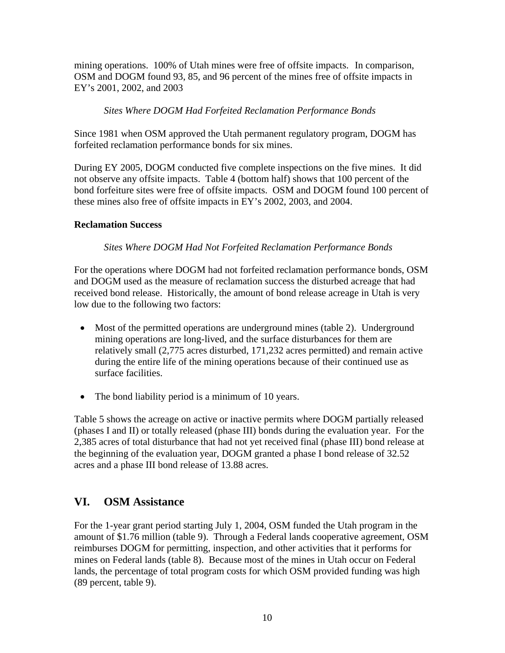mining operations. 100% of Utah mines were free of offsite impacts. In comparison, OSM and DOGM found 93, 85, and 96 percent of the mines free of offsite impacts in EY's 2001, 2002, and 2003

#### *Sites Where DOGM Had Forfeited Reclamation Performance Bonds*

Since 1981 when OSM approved the Utah permanent regulatory program, DOGM has forfeited reclamation performance bonds for six mines.

During EY 2005, DOGM conducted five complete inspections on the five mines. It did not observe any offsite impacts. Table 4 (bottom half) shows that 100 percent of the bond forfeiture sites were free of offsite impacts. OSM and DOGM found 100 percent of these mines also free of offsite impacts in EY's 2002, 2003, and 2004.

### **Reclamation Success**

### *Sites Where DOGM Had Not Forfeited Reclamation Performance Bonds*

For the operations where DOGM had not forfeited reclamation performance bonds, OSM and DOGM used as the measure of reclamation success the disturbed acreage that had received bond release. Historically, the amount of bond release acreage in Utah is very low due to the following two factors:

- Most of the permitted operations are underground mines (table 2). Underground mining operations are long-lived, and the surface disturbances for them are relatively small (2,775 acres disturbed, 171,232 acres permitted) and remain active during the entire life of the mining operations because of their continued use as surface facilities.
- The bond liability period is a minimum of 10 years.

Table 5 shows the acreage on active or inactive permits where DOGM partially released (phases I and II) or totally released (phase III) bonds during the evaluation year. For the 2,385 acres of total disturbance that had not yet received final (phase III) bond release at the beginning of the evaluation year, DOGM granted a phase I bond release of 32.52 acres and a phase III bond release of 13.88 acres.

### **VI. OSM Assistance**

For the 1-year grant period starting July 1, 2004, OSM funded the Utah program in the amount of \$1.76 million (table 9). Through a Federal lands cooperative agreement, OSM reimburses DOGM for permitting, inspection, and other activities that it performs for mines on Federal lands (table 8). Because most of the mines in Utah occur on Federal lands, the percentage of total program costs for which OSM provided funding was high (89 percent, table 9).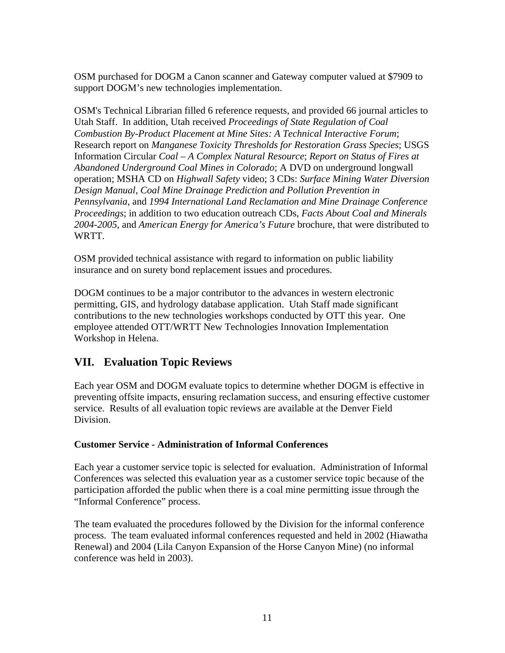OSM purchased for DOGM a Canon scanner and Gateway computer valued at \$7909 to support DOGM's new technologies implementation.

OSM's Technical Librarian filled 6 reference requests, and provided 66 journal articles to Utah Staff. In addition, Utah received *Proceedings of State Regulation of Coal Combustion By-Product Placement at Mine Sites: A Technical Interactive Forum*; Research report on *Manganese Toxicity Thresholds for Restoration Grass Species*; USGS Information Circular *Coal – A Complex Natural Resource*; *Report on Status of Fires at Abandoned Underground Coal Mines in Colorado*; A DVD on underground longwall operation; MSHA CD on *Highwall Safety* video; 3 CDs: *Surface Mining Water Diversion Design Manual*, *Coal Mine Drainage Prediction and Pollution Prevention in Pennsylvania*, and *1994 International Land Reclamation and Mine Drainage Conference Proceedings*; in addition to two education outreach CDs, *Facts About Coal and Minerals 2004-2005*, and *American Energy for America's Future* brochure, that were distributed to WRTT.

OSM provided technical assistance with regard to information on public liability insurance and on surety bond replacement issues and procedures.

DOGM continues to be a major contributor to the advances in western electronic permitting, GIS, and hydrology database application. Utah Staff made significant contributions to the new technologies workshops conducted by OTT this year. One employee attended OTT/WRTT New Technologies Innovation Implementation Workshop in Helena.

## **VII. Evaluation Topic Reviews**

Each year OSM and DOGM evaluate topics to determine whether DOGM is effective in preventing offsite impacts, ensuring reclamation success, and ensuring effective customer service. Results of all evaluation topic reviews are available at the Denver Field Division.

### **Customer Service - Administration of Informal Conferences**

Each year a customer service topic is selected for evaluation. Administration of Informal Conferences was selected this evaluation year as a customer service topic because of the participation afforded the public when there is a coal mine permitting issue through the "Informal Conference" process.

The team evaluated the procedures followed by the Division for the informal conference process. The team evaluated informal conferences requested and held in 2002 (Hiawatha Renewal) and 2004 (Lila Canyon Expansion of the Horse Canyon Mine) (no informal conference was held in 2003).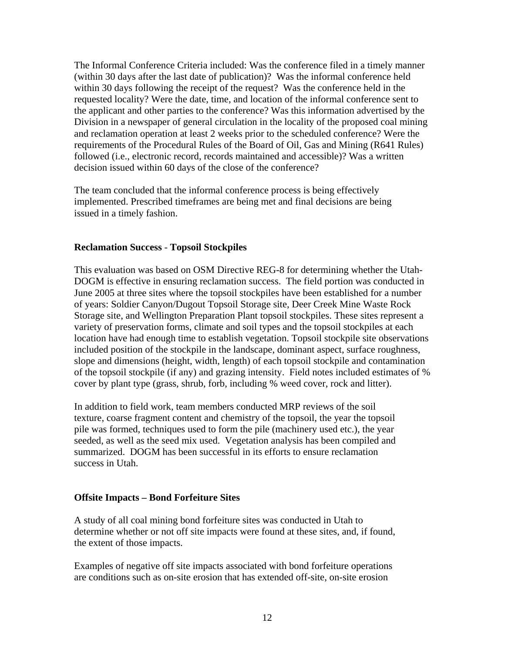The Informal Conference Criteria included: Was the conference filed in a timely manner (within 30 days after the last date of publication)? Was the informal conference held within 30 days following the receipt of the request? Was the conference held in the requested locality? Were the date, time, and location of the informal conference sent to the applicant and other parties to the conference? Was this information advertised by the Division in a newspaper of general circulation in the locality of the proposed coal mining and reclamation operation at least 2 weeks prior to the scheduled conference? Were the requirements of the Procedural Rules of the Board of Oil, Gas and Mining (R641 Rules) followed (i.e., electronic record, records maintained and accessible)? Was a written decision issued within 60 days of the close of the conference?

The team concluded that the informal conference process is being effectively implemented. Prescribed timeframes are being met and final decisions are being issued in a timely fashion.

#### **Reclamation Success** - **Topsoil Stockpiles**

This evaluation was based on OSM Directive REG-8 for determining whether the Utah-DOGM is effective in ensuring reclamation success. The field portion was conducted in June 2005 at three sites where the topsoil stockpiles have been established for a number of years: Soldier Canyon/Dugout Topsoil Storage site, Deer Creek Mine Waste Rock Storage site, and Wellington Preparation Plant topsoil stockpiles. These sites represent a variety of preservation forms, climate and soil types and the topsoil stockpiles at each location have had enough time to establish vegetation. Topsoil stockpile site observations included position of the stockpile in the landscape, dominant aspect, surface roughness, slope and dimensions (height, width, length) of each topsoil stockpile and contamination of the topsoil stockpile (if any) and grazing intensity. Field notes included estimates of % cover by plant type (grass, shrub, forb, including % weed cover, rock and litter).

In addition to field work, team members conducted MRP reviews of the soil texture, coarse fragment content and chemistry of the topsoil, the year the topsoil pile was formed, techniques used to form the pile (machinery used etc.), the year seeded, as well as the seed mix used. Vegetation analysis has been compiled and summarized. DOGM has been successful in its efforts to ensure reclamation success in Utah.

#### **Offsite Impacts – Bond Forfeiture Sites**

A study of all coal mining bond forfeiture sites was conducted in Utah to determine whether or not off site impacts were found at these sites, and, if found, the extent of those impacts.

Examples of negative off site impacts associated with bond forfeiture operations are conditions such as on-site erosion that has extended off-site, on-site erosion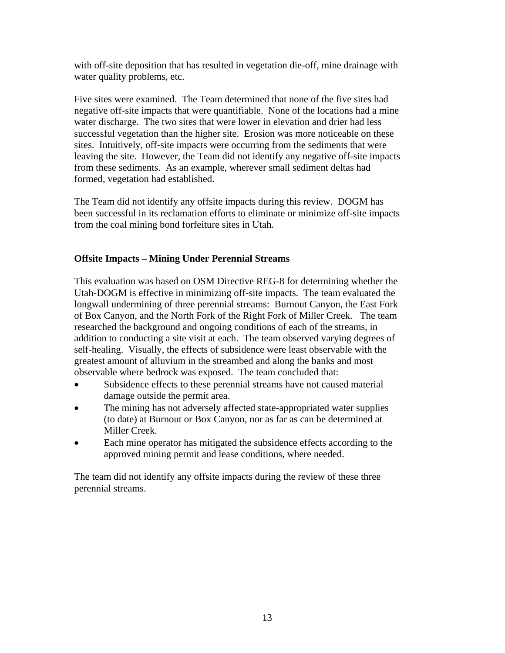with off-site deposition that has resulted in vegetation die-off, mine drainage with water quality problems, etc.

Five sites were examined. The Team determined that none of the five sites had negative off-site impacts that were quantifiable. None of the locations had a mine water discharge. The two sites that were lower in elevation and drier had less successful vegetation than the higher site. Erosion was more noticeable on these sites. Intuitively, off-site impacts were occurring from the sediments that were leaving the site. However, the Team did not identify any negative off-site impacts from these sediments. As an example, wherever small sediment deltas had formed, vegetation had established.

The Team did not identify any offsite impacts during this review. DOGM has been successful in its reclamation efforts to eliminate or minimize off-site impacts from the coal mining bond forfeiture sites in Utah.

### **Offsite Impacts – Mining Under Perennial Streams**

This evaluation was based on OSM Directive REG-8 for determining whether the Utah-DOGM is effective in minimizing off-site impacts. The team evaluated the longwall undermining of three perennial streams: Burnout Canyon, the East Fork of Box Canyon, and the North Fork of the Right Fork of Miller Creek. The team researched the background and ongoing conditions of each of the streams, in addition to conducting a site visit at each. The team observed varying degrees of self-healing. Visually, the effects of subsidence were least observable with the greatest amount of alluvium in the streambed and along the banks and most observable where bedrock was exposed. The team concluded that:

- Subsidence effects to these perennial streams have not caused material damage outside the permit area.
- The mining has not adversely affected state-appropriated water supplies (to date) at Burnout or Box Canyon, nor as far as can be determined at Miller Creek.
- Each mine operator has mitigated the subsidence effects according to the approved mining permit and lease conditions, where needed.

The team did not identify any offsite impacts during the review of these three perennial streams.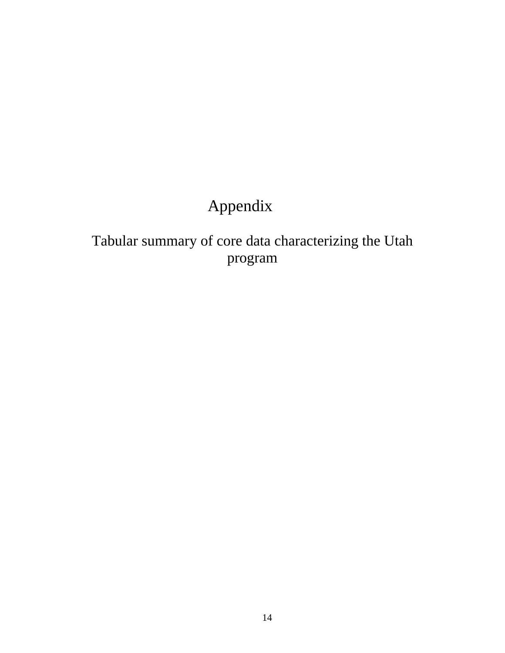# Appendix

Tabular summary of core data characterizing the Utah program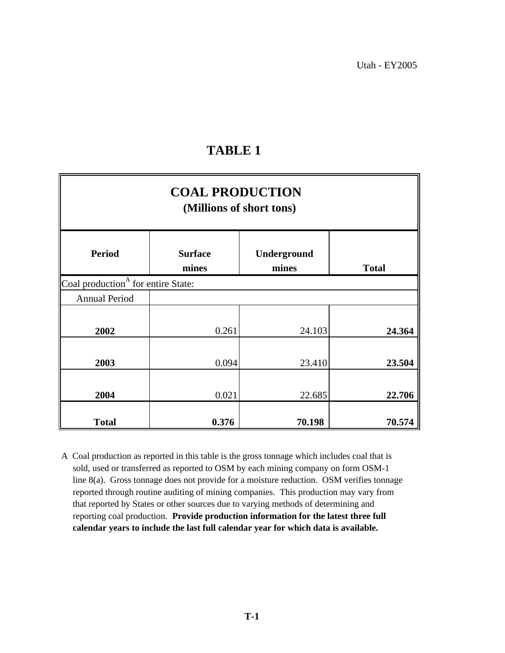| <b>COAL PRODUCTION</b><br>(Millions of short tons) |                         |                      |              |  |  |  |  |  |  |
|----------------------------------------------------|-------------------------|----------------------|--------------|--|--|--|--|--|--|
| <b>Period</b>                                      | <b>Surface</b><br>mines | Underground<br>mines | <b>Total</b> |  |  |  |  |  |  |
| Coal production <sup>A</sup> for entire State:     |                         |                      |              |  |  |  |  |  |  |
| <b>Annual Period</b>                               |                         |                      |              |  |  |  |  |  |  |
| 2002                                               | 0.261                   | 24.103               | 24.364       |  |  |  |  |  |  |
| 2003                                               | 0.094                   | 23.410               | 23.504       |  |  |  |  |  |  |
| 2004                                               | 0.021                   | 22.685               | 22.706       |  |  |  |  |  |  |
| <b>Total</b>                                       | 0.376                   | 70.198               | 70.574       |  |  |  |  |  |  |

 reporting coal production. **Provide production information for the latest three full**  sold, used or transferred as reported to OSM by each mining company on form OSM-1 A Coal production as reported in this table is the gross tonnage which includes coal that is  **calendar years to include the last full calendar year for which data is available.**  reported through routine auditing of mining companies. This production may vary from that reported by States or other sources due to varying methods of determining and line 8(a). Gross tonnage does not provide for a moisture reduction. OSM verifies tonnage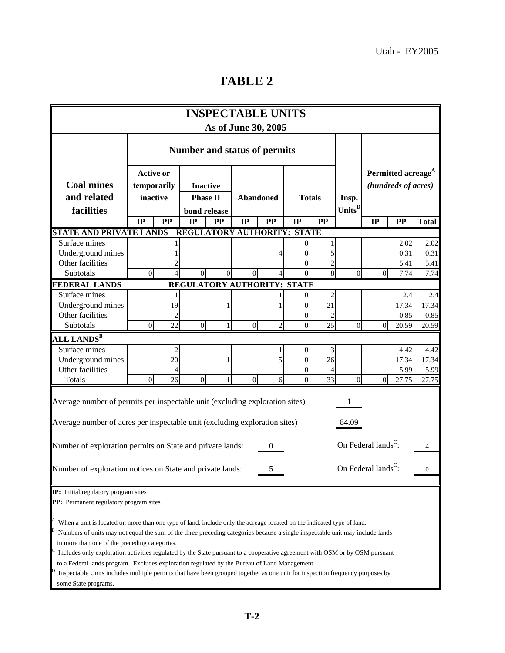| <b>INSPECTABLE UNITS</b><br>As of June 30, 2005                                                                                                                                                                                                                                                                                                                                                                                                                                                                                                                                                                                                                                               |                                     |                                                                                                                        |                             |              |                |                |                |           |                                                       |                |           |              |
|-----------------------------------------------------------------------------------------------------------------------------------------------------------------------------------------------------------------------------------------------------------------------------------------------------------------------------------------------------------------------------------------------------------------------------------------------------------------------------------------------------------------------------------------------------------------------------------------------------------------------------------------------------------------------------------------------|-------------------------------------|------------------------------------------------------------------------------------------------------------------------|-----------------------------|--------------|----------------|----------------|----------------|-----------|-------------------------------------------------------|----------------|-----------|--------------|
|                                                                                                                                                                                                                                                                                                                                                                                                                                                                                                                                                                                                                                                                                               | <b>Number and status of permits</b> |                                                                                                                        |                             |              |                |                |                |           |                                                       |                |           |              |
| <b>Coal mines</b><br>and related                                                                                                                                                                                                                                                                                                                                                                                                                                                                                                                                                                                                                                                              |                                     | <b>Active or</b><br>temporarily<br><b>Inactive</b><br>inactive<br><b>Phase II</b><br><b>Abandoned</b><br><b>Totals</b> |                             |              |                |                | Insp.          |           | Permitted acreage <sup>A</sup><br>(hundreds of acres) |                |           |              |
| facilities                                                                                                                                                                                                                                                                                                                                                                                                                                                                                                                                                                                                                                                                                    | IP                                  | <b>PP</b>                                                                                                              | bond release<br>IP          | PP           | IP             | PP             | IP             | <b>PP</b> | Units <sup>D</sup>                                    | IP             | <b>PP</b> | <b>Total</b> |
| <b>STATE AND PRIVATE LANDS</b>                                                                                                                                                                                                                                                                                                                                                                                                                                                                                                                                                                                                                                                                |                                     |                                                                                                                        | REGULATORY AUTHORITY: STATE |              |                |                |                |           |                                                       |                |           |              |
| Surface mines                                                                                                                                                                                                                                                                                                                                                                                                                                                                                                                                                                                                                                                                                 |                                     |                                                                                                                        |                             |              |                |                | 0              |           |                                                       |                | 2.02      | 2.02         |
| Underground mines                                                                                                                                                                                                                                                                                                                                                                                                                                                                                                                                                                                                                                                                             |                                     |                                                                                                                        |                             |              |                |                | 0              | 5         |                                                       |                | 0.31      | 0.31         |
| Other facilities                                                                                                                                                                                                                                                                                                                                                                                                                                                                                                                                                                                                                                                                              |                                     |                                                                                                                        |                             |              |                |                | 0              | 2         |                                                       |                | 5.41      | 5.41         |
| Subtotals                                                                                                                                                                                                                                                                                                                                                                                                                                                                                                                                                                                                                                                                                     | $\overline{0}$                      |                                                                                                                        | $\Omega$                    | $\Omega$     | $\Omega$       |                | $\Omega$       | 8         | $\Omega$                                              | $\Omega$       | 7.74      | 7.74         |
| <b>FEDERAL LANDS</b>                                                                                                                                                                                                                                                                                                                                                                                                                                                                                                                                                                                                                                                                          |                                     |                                                                                                                        | REGULATORY AUTHORITY: STATE |              |                |                |                |           |                                                       |                |           |              |
| Surface mines                                                                                                                                                                                                                                                                                                                                                                                                                                                                                                                                                                                                                                                                                 |                                     |                                                                                                                        |                             |              |                |                | $\overline{0}$ | 2         |                                                       |                | 2.4       | 2.4          |
| Underground mines                                                                                                                                                                                                                                                                                                                                                                                                                                                                                                                                                                                                                                                                             |                                     | 19                                                                                                                     |                             | 1            |                |                | $\overline{0}$ | 21        |                                                       |                | 17.34     | 17.34        |
| Other facilities                                                                                                                                                                                                                                                                                                                                                                                                                                                                                                                                                                                                                                                                              |                                     | 2                                                                                                                      |                             |              |                |                | 0              | 2         |                                                       |                | 0.85      | 0.85         |
| Subtotals                                                                                                                                                                                                                                                                                                                                                                                                                                                                                                                                                                                                                                                                                     | $\overline{0}$                      | 22                                                                                                                     | $\overline{0}$              | $\mathbf{1}$ | $\overline{0}$ | $\overline{c}$ | $\overline{0}$ | 25        | $\Omega$                                              | $\overline{0}$ | 20.59     | 20.59        |
| ALL LANDS $^{\rm B}$                                                                                                                                                                                                                                                                                                                                                                                                                                                                                                                                                                                                                                                                          |                                     |                                                                                                                        |                             |              |                |                |                |           |                                                       |                |           |              |
| Surface mines                                                                                                                                                                                                                                                                                                                                                                                                                                                                                                                                                                                                                                                                                 |                                     | 2                                                                                                                      |                             |              |                |                | $\overline{0}$ | 3         |                                                       |                | 4.42      | 4.42         |
| Underground mines                                                                                                                                                                                                                                                                                                                                                                                                                                                                                                                                                                                                                                                                             |                                     | 20                                                                                                                     |                             | 1            |                | 5              | $\overline{0}$ | 26        |                                                       |                | 17.34     | 17.34        |
| Other facilities                                                                                                                                                                                                                                                                                                                                                                                                                                                                                                                                                                                                                                                                              |                                     |                                                                                                                        |                             |              |                |                | $\theta$       | 4         |                                                       |                | 5.99      | 5.99         |
| Totals                                                                                                                                                                                                                                                                                                                                                                                                                                                                                                                                                                                                                                                                                        | $\overline{0}$                      | 26                                                                                                                     | $\overline{0}$              | $\mathbf{1}$ | $\Omega$       | 6              | $\overline{0}$ | 33        | $\Omega$                                              | $\Omega$       | 27.75     | 27.75        |
| Average number of permits per inspectable unit (excluding exploration sites)<br>Average number of acres per inspectable unit (excluding exploration sites)                                                                                                                                                                                                                                                                                                                                                                                                                                                                                                                                    |                                     |                                                                                                                        |                             |              |                |                |                |           | 84.09                                                 |                |           |              |
| Number of exploration permits on State and private lands:                                                                                                                                                                                                                                                                                                                                                                                                                                                                                                                                                                                                                                     |                                     |                                                                                                                        |                             |              |                | $\mathbf{0}$   |                |           | On Federal lands <sup>C</sup> :                       |                |           | 4            |
| On Federal lands <sup>C</sup> :<br>Number of exploration notices on State and private lands:<br>5<br>0                                                                                                                                                                                                                                                                                                                                                                                                                                                                                                                                                                                        |                                     |                                                                                                                        |                             |              |                |                |                |           |                                                       |                |           |              |
| IP: Initial regulatory program sites<br>PP: Permanent regulatory program sites                                                                                                                                                                                                                                                                                                                                                                                                                                                                                                                                                                                                                |                                     |                                                                                                                        |                             |              |                |                |                |           |                                                       |                |           |              |
| When a unit is located on more than one type of land, include only the acreage located on the indicated type of land.<br>Numbers of units may not equal the sum of the three preceding categories because a single inspectable unit may include lands<br>in more than one of the preceding categories.<br>Includes only exploration activities regulated by the State pursuant to a cooperative agreement with OSM or by OSM pursuant<br>to a Federal lands program. Excludes exploration regulated by the Bureau of Land Management.<br>Inspectable Units includes multiple permits that have been grouped together as one unit for inspection frequency purposes by<br>some State programs. |                                     |                                                                                                                        |                             |              |                |                |                |           |                                                       |                |           |              |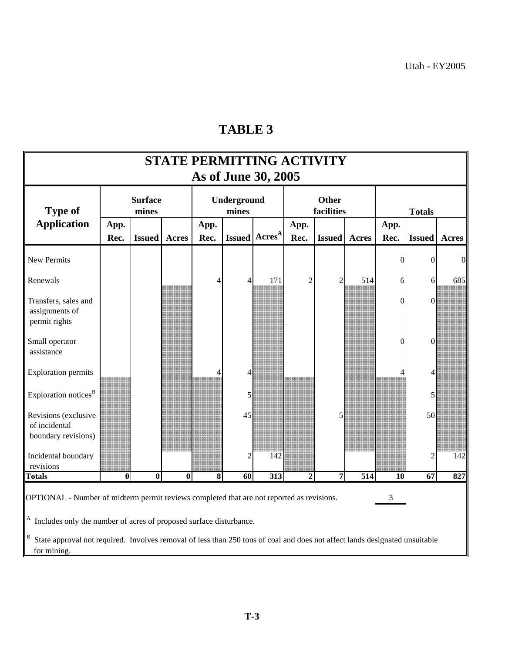| <b>STATE PERMITTING ACTIVITY</b><br>As of June 30, 2005                                                                                                                                                                                                                                                                                      |              |                         |              |                                                                                              |                             |                  |                |                            |     |                |                  |                |
|----------------------------------------------------------------------------------------------------------------------------------------------------------------------------------------------------------------------------------------------------------------------------------------------------------------------------------------------|--------------|-------------------------|--------------|----------------------------------------------------------------------------------------------|-----------------------------|------------------|----------------|----------------------------|-----|----------------|------------------|----------------|
| <b>Type of</b>                                                                                                                                                                                                                                                                                                                               |              | <b>Surface</b><br>mines |              |                                                                                              | <b>Underground</b><br>mines |                  |                | <b>Other</b><br>facilities |     |                | <b>Totals</b>    |                |
| <b>Application</b>                                                                                                                                                                                                                                                                                                                           | App.<br>Rec. | <b>Issued</b>           | <b>Acres</b> | App.<br>App.<br>Issued   Acres <sup>A</sup><br>Rec.<br><b>Issued</b><br>Rec.<br><b>Acres</b> |                             |                  |                |                            |     | App.<br>Rec.   | <b>Issued</b>    | <b>Acres</b>   |
| <b>New Permits</b>                                                                                                                                                                                                                                                                                                                           |              |                         |              |                                                                                              |                             |                  |                |                            |     | $\theta$       | 0                | $\overline{0}$ |
| Renewals                                                                                                                                                                                                                                                                                                                                     |              |                         |              | 4                                                                                            | 4                           | 171              | $\overline{2}$ | $\mathfrak{2}$             | 514 | 6              | 6                | 685            |
| Transfers, sales and<br>assignments of<br>permit rights                                                                                                                                                                                                                                                                                      |              |                         |              |                                                                                              |                             |                  |                |                            |     | $\overline{0}$ | $\mathbf{0}$     |                |
| Small operator<br>assistance                                                                                                                                                                                                                                                                                                                 |              |                         |              |                                                                                              |                             |                  |                |                            |     | $\mathbf{0}$   | $\boldsymbol{0}$ |                |
| <b>Exploration permits</b>                                                                                                                                                                                                                                                                                                                   |              |                         |              |                                                                                              | 4                           |                  |                |                            |     |                | 4                |                |
| Exploration notices <sup>B</sup>                                                                                                                                                                                                                                                                                                             |              |                         |              |                                                                                              | 5                           |                  |                |                            |     |                | 5                |                |
| Revisions (exclusive<br>of incidental<br>boundary revisions)                                                                                                                                                                                                                                                                                 |              |                         |              |                                                                                              | 45                          |                  |                | 5                          |     |                | 50               |                |
| Incidental boundary<br>revisions                                                                                                                                                                                                                                                                                                             |              |                         |              |                                                                                              | $\overline{c}$              | 142              |                |                            |     |                | $\mathfrak{D}$   | 142            |
| <b>Totals</b>                                                                                                                                                                                                                                                                                                                                | $\bf{0}$     | $\overline{\mathbf{0}}$ | $\bf{0}$     | $\overline{\bf 8}$                                                                           | $\overline{60}$             | $\overline{313}$ | $\overline{2}$ | 7                          | 514 | 10             | 67               | 827            |
| OPTIONAL - Number of midterm permit reviews completed that are not reported as revisions.<br>3<br><sup>A</sup> Includes only the number of acres of proposed surface disturbance.<br><sup>B</sup> State approval not required. Involves removal of less than 250 tons of coal and does not affect lands designated unsuitable<br>for mining. |              |                         |              |                                                                                              |                             |                  |                |                            |     |                |                  |                |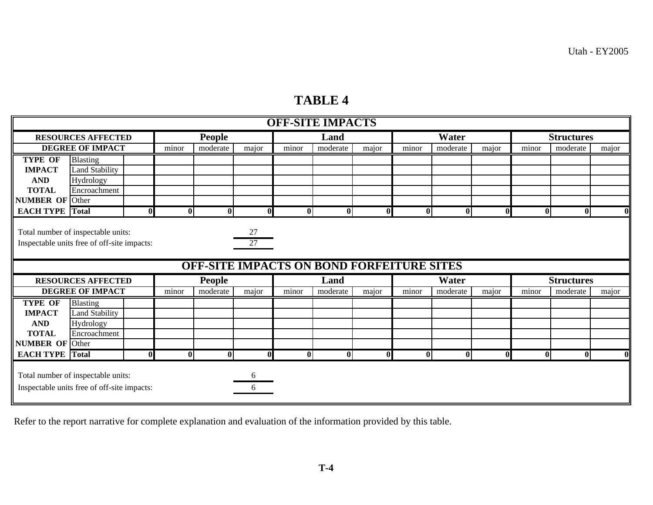### **TABLE 4**

| <b>OFF-SITE IMPACTS</b> |                                                                                   |             |              |                                                  |              |              |          |              |                         |              |              |                   |                   |              |  |
|-------------------------|-----------------------------------------------------------------------------------|-------------|--------------|--------------------------------------------------|--------------|--------------|----------|--------------|-------------------------|--------------|--------------|-------------------|-------------------|--------------|--|
|                         | <b>RESOURCES AFFECTED</b>                                                         |             |              | <b>People</b>                                    |              |              | Land     |              |                         | Water        |              | <b>Structures</b> |                   |              |  |
|                         | <b>DEGREE OF IMPACT</b>                                                           |             | minor        | moderate                                         | major        | minor        | moderate | major        | minor                   | moderate     | major        | minor             | moderate          | major        |  |
| <b>TYPE OF</b>          | <b>Blasting</b>                                                                   |             |              |                                                  |              |              |          |              |                         |              |              |                   |                   |              |  |
| <b>IMPACT</b>           | <b>Land Stability</b>                                                             |             |              |                                                  |              |              |          |              |                         |              |              |                   |                   |              |  |
| <b>AND</b>              | Hydrology                                                                         |             |              |                                                  |              |              |          |              |                         |              |              |                   |                   |              |  |
| <b>TOTAL</b>            | Encroachment                                                                      |             |              |                                                  |              |              |          |              |                         |              |              |                   |                   |              |  |
| <b>NUMBER OF Other</b>  |                                                                                   |             |              |                                                  |              |              |          |              |                         |              |              |                   |                   |              |  |
| <b>EACH TYPE</b> Total  |                                                                                   | 0           | $\bf{0}$     | $\bf{0}$                                         | $\Omega$     | $\mathbf{0}$ | $\bf{0}$ | $\mathbf{0}$ | $\overline{\mathbf{0}}$ | $\bf{0}$     | $\mathbf{0}$ | $\bf{0}$          | $\mathbf{0}$      | $\mathbf{0}$ |  |
|                         | Total number of inspectable units:<br>Inspectable units free of off-site impacts: |             |              |                                                  | 27<br>27     |              |          |              |                         |              |              |                   |                   |              |  |
|                         |                                                                                   |             |              | <b>OFF-SITE IMPACTS ON BOND FORFEITURE SITES</b> |              |              |          |              |                         |              |              |                   |                   |              |  |
|                         | <b>RESOURCES AFFECTED</b>                                                         |             |              | People                                           |              |              | Land     |              |                         | Water        |              |                   | <b>Structures</b> |              |  |
|                         | <b>DEGREE OF IMPACT</b>                                                           |             | minor        | moderate                                         | major        | minor        | moderate | major        | minor                   | moderate     | major        | minor             | moderate          | major        |  |
| <b>TYPE OF</b>          | <b>Blasting</b>                                                                   |             |              |                                                  |              |              |          |              |                         |              |              |                   |                   |              |  |
| <b>IMPACT</b>           | <b>Land Stability</b>                                                             |             |              |                                                  |              |              |          |              |                         |              |              |                   |                   |              |  |
| <b>AND</b>              | Hydrology                                                                         |             |              |                                                  |              |              |          |              |                         |              |              |                   |                   |              |  |
| <b>TOTAL</b>            | Encroachment                                                                      |             |              |                                                  |              |              |          |              |                         |              |              |                   |                   |              |  |
| <b>NUMBER OF Other</b>  |                                                                                   |             |              |                                                  |              |              |          |              |                         |              |              |                   |                   |              |  |
| <b>EACH TYPE</b>        | <b>Total</b>                                                                      | $\mathbf 0$ | $\mathbf{0}$ | $\overline{\mathbf{0}}$                          | $\mathbf{0}$ | $\mathbf{0}$ | 0        | $\mathbf{0}$ | $\overline{\mathbf{0}}$ | $\mathbf{0}$ | $\mathbf{0}$ | $\bf{0}$          | $\mathbf{0}$      | $\mathbf{0}$ |  |

Refer to the report narrative for complete explanation and evaluation of the information provided by this table.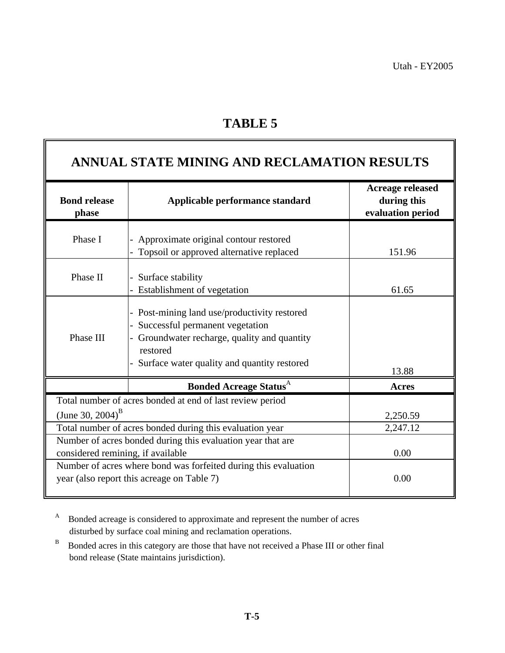|                                   | ANNUAL STATE MINING AND RECLAMATION RESULTS                                                                                                                                            |                                                             |
|-----------------------------------|----------------------------------------------------------------------------------------------------------------------------------------------------------------------------------------|-------------------------------------------------------------|
| <b>Bond release</b><br>phase      | Applicable performance standard                                                                                                                                                        | <b>Acreage released</b><br>during this<br>evaluation period |
| Phase I                           | Approximate original contour restored<br>Topsoil or approved alternative replaced                                                                                                      | 151.96                                                      |
| Phase II                          | Surface stability<br>Establishment of vegetation                                                                                                                                       | 61.65                                                       |
| Phase III                         | Post-mining land use/productivity restored<br>Successful permanent vegetation<br>Groundwater recharge, quality and quantity<br>restored<br>Surface water quality and quantity restored | 13.88                                                       |
|                                   | <b>Bonded Acreage Status</b> <sup>A</sup>                                                                                                                                              | Acres                                                       |
| (June 30, 2004) <sup>B</sup>      | Total number of acres bonded at end of last review period                                                                                                                              | 2,250.59                                                    |
|                                   | Total number of acres bonded during this evaluation year                                                                                                                               | 2,247.12                                                    |
| considered remining, if available | Number of acres bonded during this evaluation year that are                                                                                                                            | 0.00                                                        |
|                                   | Number of acres where bond was forfeited during this evaluation<br>year (also report this acreage on Table 7)                                                                          | 0.00                                                        |

 A Bonded acreage is considered to approximate and represent the number of acres disturbed by surface coal mining and reclamation operations.

B Bonded acres in this category are those that have not received a Phase III or other final bond release (State maintains jurisdiction).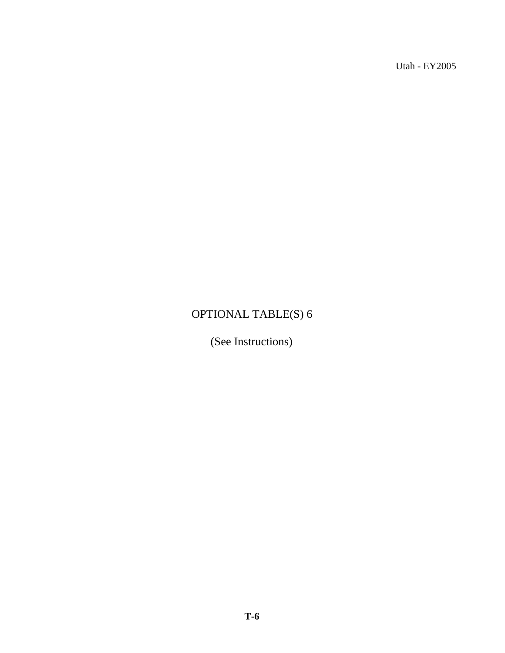# OPTIONAL TABLE(S) 6

(See Instructions)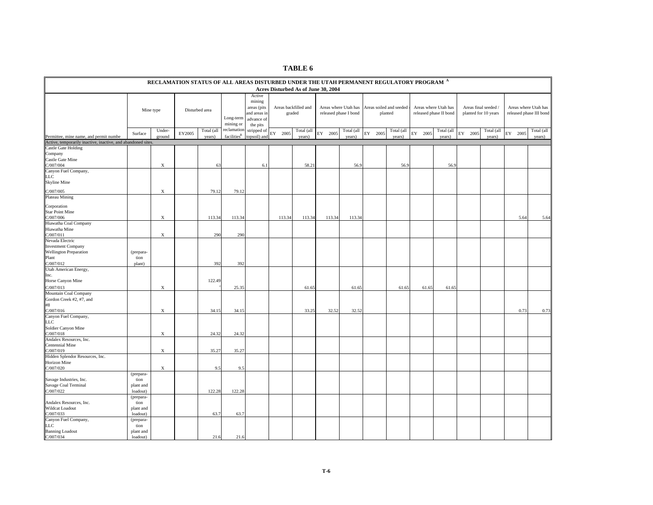|                                                                                        | RECLAMATION STATUS OF ALL AREAS DISTURBED UNDER THE UTAH PERMANENT REGULATORY PROGRAM A<br>Acres Disturbed As of June 30, 2004 |                           |        |                |                         |                                                                           |            |                                |                                               |            |            |                         |         |                                                |                                              |            |            |                                                 |
|----------------------------------------------------------------------------------------|--------------------------------------------------------------------------------------------------------------------------------|---------------------------|--------|----------------|-------------------------|---------------------------------------------------------------------------|------------|--------------------------------|-----------------------------------------------|------------|------------|-------------------------|---------|------------------------------------------------|----------------------------------------------|------------|------------|-------------------------------------------------|
|                                                                                        |                                                                                                                                |                           |        |                |                         |                                                                           |            |                                |                                               |            |            |                         |         |                                                |                                              |            |            |                                                 |
|                                                                                        |                                                                                                                                | Mine type                 |        | Disturbed area | Long-term<br>mining or  | Active<br>mining<br>areas (pits<br>and areas in<br>advance of<br>the pits |            | Areas backfilled and<br>graded | Areas where Utah has<br>released phase I bond |            | planted    | Areas soiled and seeded |         | Areas where Utah has<br>released phase II bond | Areas final seeded /<br>planted for 10 years |            |            | Areas where Utah has<br>released phase III bond |
|                                                                                        |                                                                                                                                | Under-                    | EY2005 | Total (all     | reclamation             | stripped of                                                               | EY<br>2005 | Total (all                     | EY 2005                                       | Total (all | EY<br>2005 | Total (all              | EY 2005 | Total (all                                     | ${\rm EY}$<br>2005                           | Total (all | 2005<br>EY | Total (all                                      |
| Permittee, mine name, and permit numbe                                                 | Surface                                                                                                                        | ground                    |        | years)         | facilities <sup>B</sup> | topsoil) and                                                              |            | years)                         |                                               | years)     |            | years)                  |         | years)                                         |                                              | years)     |            | years)                                          |
| Active, temporarily inactive, inactive, and abandoned sites.                           |                                                                                                                                |                           |        |                |                         |                                                                           |            |                                |                                               |            |            |                         |         |                                                |                                              |            |            |                                                 |
| Castle Gate Holding<br>Company<br>Castle Gate Mine<br>2/007/004                        |                                                                                                                                | $\boldsymbol{\mathrm{X}}$ |        | 63             |                         | 6.1                                                                       |            | 58.21                          |                                               | 56.9       |            | 56.9                    |         | 56.9                                           |                                              |            |            |                                                 |
| Canyon Fuel Company,<br>LLC<br>Skyline Mine                                            |                                                                                                                                |                           |        |                |                         |                                                                           |            |                                |                                               |            |            |                         |         |                                                |                                              |            |            |                                                 |
| C/007/005                                                                              |                                                                                                                                | $\mathbf X$               |        | 79.12          | 79.12                   |                                                                           |            |                                |                                               |            |            |                         |         |                                                |                                              |            |            |                                                 |
| Plateau Mining<br>Corporation<br><b>Star Point Mine</b><br>C/007/006                   |                                                                                                                                | $\mathbf X$               |        | 113.34         | 113.34                  |                                                                           | 113.34     | 113.34                         | 113.34                                        | 113.34     |            |                         |         |                                                |                                              |            | 5.64       | 5.64                                            |
| Hiawatha Coal Company<br>Hiawatha Mine<br>C/007/011                                    |                                                                                                                                | $\mathbf X$               |        | 290            | 290                     |                                                                           |            |                                |                                               |            |            |                         |         |                                                |                                              |            |            |                                                 |
| Nevada Electric<br><b>Investment Company</b><br><b>Wellington Preparation</b><br>Plant | (prepara-<br>tion                                                                                                              |                           |        |                |                         |                                                                           |            |                                |                                               |            |            |                         |         |                                                |                                              |            |            |                                                 |
| C/007/012<br>Jtah American Energy,<br>Inc.<br>Horse Canyon Mine                        | plant)                                                                                                                         |                           |        | 392<br>122.49  | 392                     |                                                                           |            |                                |                                               |            |            |                         |         |                                                |                                              |            |            |                                                 |
| C/007/013                                                                              |                                                                                                                                | X                         |        |                | 25.35                   |                                                                           |            | 61.65                          |                                               | 61.65      |            | 61.65                   | 61.65   | 61.65                                          |                                              |            |            |                                                 |
| Mountain Coal Company<br>Gordon Creek #2, #7, and<br>#8<br>C/007/016                   |                                                                                                                                | X                         |        | 34.15          | 34.15                   |                                                                           |            | 33.25                          | 32.52                                         | 32.52      |            |                         |         |                                                |                                              |            | 0.73       | 0.73                                            |
| Canyon Fuel Company,<br>LC<br>Soldier Canyon Mine<br>C/007/018                         |                                                                                                                                | X                         |        | 24.32          | 24.32                   |                                                                           |            |                                |                                               |            |            |                         |         |                                                |                                              |            |            |                                                 |
| Andalex Resources, Inc.<br>Centennial Mine<br>2/007/019                                |                                                                                                                                | $\mathbf X$               |        | 35.27          | 35.27                   |                                                                           |            |                                |                                               |            |            |                         |         |                                                |                                              |            |            |                                                 |
| Hidden Splendor Resources, Inc.                                                        |                                                                                                                                |                           |        |                |                         |                                                                           |            |                                |                                               |            |            |                         |         |                                                |                                              |            |            |                                                 |
| Horizon Mine<br>C/007/020                                                              |                                                                                                                                | $\boldsymbol{\mathrm{X}}$ |        | 9.5            | 9.5                     |                                                                           |            |                                |                                               |            |            |                         |         |                                                |                                              |            |            |                                                 |
| Savage Industries, Inc.<br>Savage Coal Terminal<br>C/007/022                           | (prepara-<br>tion<br>plant and<br>loadout)                                                                                     |                           |        | 122.28         | 122.28                  |                                                                           |            |                                |                                               |            |            |                         |         |                                                |                                              |            |            |                                                 |
| Andalex Resources, Inc.<br><b>Wildcat Loadout</b><br>2/007/033                         | (prepara-<br>tion<br>plant and<br>loadout)                                                                                     |                           |        | 63.7           | 63.7                    |                                                                           |            |                                |                                               |            |            |                         |         |                                                |                                              |            |            |                                                 |
| Canyon Fuel Company,<br>LLC<br><b>Banning Loadout</b><br>C/007/034                     | (prepara-<br>tion<br>plant and<br>loadout)                                                                                     |                           |        | 21.6           | 21.6                    |                                                                           |            |                                |                                               |            |            |                         |         |                                                |                                              |            |            |                                                 |

**TABLE 6**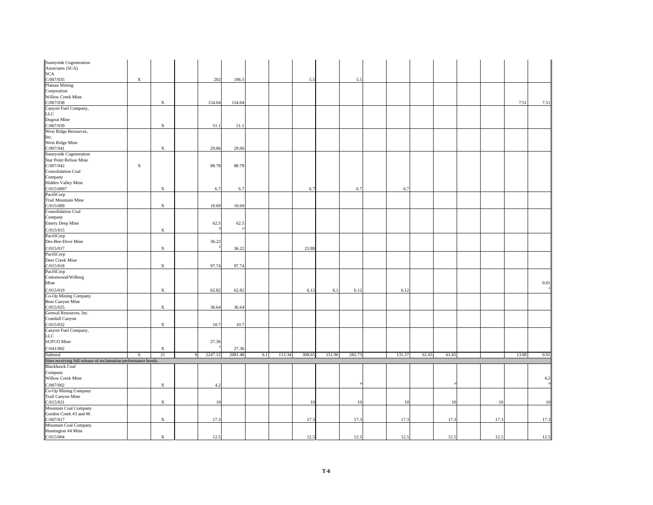| Sunnyside Cogeneration<br>Associates (SCA)<br>SCA<br>C/007/035<br>Plateau Mining                                                |             |             |         |         |     |        |        |        |        |        |       |       |      |       |      |
|---------------------------------------------------------------------------------------------------------------------------------|-------------|-------------|---------|---------|-----|--------|--------|--------|--------|--------|-------|-------|------|-------|------|
|                                                                                                                                 |             |             |         |         |     |        |        |        |        |        |       |       |      |       |      |
|                                                                                                                                 |             |             |         |         |     |        |        |        |        |        |       |       |      |       |      |
|                                                                                                                                 | $\mathbf X$ |             | 202     | 196.5   |     |        | 5.5    |        | 5.5    |        |       |       |      |       |      |
|                                                                                                                                 |             |             |         |         |     |        |        |        |        |        |       |       |      |       |      |
| Corporation<br>Willow Creek Mine                                                                                                |             |             |         |         |     |        |        |        |        |        |       |       |      |       |      |
|                                                                                                                                 |             | $\mathbf X$ | 154.04  | 154.04  |     |        |        |        |        |        |       |       |      | 7.51  | 7.51 |
| WHOW CICK NHIE<br>Clory/038<br>Canyon Fuel Company,<br>LLC<br>Dugout Mine<br>West Ridge Resources,                              |             |             |         |         |     |        |        |        |        |        |       |       |      |       |      |
|                                                                                                                                 |             |             |         |         |     |        |        |        |        |        |       |       |      |       |      |
|                                                                                                                                 |             |             |         |         |     |        |        |        |        |        |       |       |      |       |      |
|                                                                                                                                 |             |             |         |         |     |        |        |        |        |        |       |       |      |       |      |
|                                                                                                                                 |             | $\mathbf X$ | 51.1    | 51.1    |     |        |        |        |        |        |       |       |      |       |      |
|                                                                                                                                 |             |             |         |         |     |        |        |        |        |        |       |       |      |       |      |
| The Tinge Researces,<br>Inc.<br>West Ridge Mine<br>C/007/041<br>Sunnyside Cogeneration                                          |             |             |         |         |     |        |        |        |        |        |       |       |      |       |      |
|                                                                                                                                 |             |             |         |         |     |        |        |        |        |        |       |       |      |       |      |
|                                                                                                                                 |             | $\mathbf X$ | 29.06   | 29.06   |     |        |        |        |        |        |       |       |      |       |      |
|                                                                                                                                 |             |             |         |         |     |        |        |        |        |        |       |       |      |       |      |
| <b>Star Point Refuse Mine</b>                                                                                                   |             |             |         |         |     |        |        |        |        |        |       |       |      |       |      |
|                                                                                                                                 | $\mathbf X$ |             | 88.78   | 88.78   |     |        |        |        |        |        |       |       |      |       |      |
| Star Folin Retuse Mir<br>C/007/042<br>Consolidation Coal<br>Company<br>Hidden Valley Mine<br>C/015/0007<br>Pacil Mentrin Mine   |             |             |         |         |     |        |        |        |        |        |       |       |      |       |      |
|                                                                                                                                 |             |             |         |         |     |        |        |        |        |        |       |       |      |       |      |
|                                                                                                                                 |             |             |         |         |     |        |        |        |        |        |       |       |      |       |      |
|                                                                                                                                 |             | $\mathbf X$ | 6.7     | 6.7     |     |        | 6.7    |        | 6.7    | 6.7    |       |       |      |       |      |
|                                                                                                                                 |             |             |         |         |     |        |        |        |        |        |       |       |      |       |      |
| Trail Mountain Mine                                                                                                             |             |             |         |         |     |        |        |        |        |        |       |       |      |       |      |
| C/015/009                                                                                                                       |             | $\mathbf X$ | 10.69   | 10.69   |     |        |        |        |        |        |       |       |      |       |      |
| <b>Consolidation Coal</b>                                                                                                       |             |             |         |         |     |        |        |        |        |        |       |       |      |       |      |
| Company                                                                                                                         |             |             |         |         |     |        |        |        |        |        |       |       |      |       |      |
| Emery Deep Mine                                                                                                                 |             |             | 62.5    | 62.5    |     |        |        |        |        |        |       |       |      |       |      |
|                                                                                                                                 |             |             |         |         |     |        |        |        |        |        |       |       |      |       |      |
| C/015/015<br>PacifiCorp                                                                                                         |             | $\mathbf X$ |         |         |     |        |        |        |        |        |       |       |      |       |      |
|                                                                                                                                 |             |             |         |         |     |        |        |        |        |        |       |       |      |       |      |
| Des-Bee-Dove Mine                                                                                                               |             |             | 36.22   |         |     |        |        |        |        |        |       |       |      |       |      |
|                                                                                                                                 |             | $\mathbf X$ |         | 36.22   |     |        | 23.88  |        |        |        |       |       |      |       |      |
| C/015/017<br>PacifiCorp                                                                                                         |             |             |         |         |     |        |        |        |        |        |       |       |      |       |      |
| Deer Creek Mine                                                                                                                 |             |             |         |         |     |        |        |        |        |        |       |       |      |       |      |
|                                                                                                                                 |             | $\mathbf X$ | 97.74   | 97.74   |     |        |        |        |        |        |       |       |      |       |      |
| C/015/018<br>PacifiCorp                                                                                                         |             |             |         |         |     |        |        |        |        |        |       |       |      |       |      |
|                                                                                                                                 |             |             |         |         |     |        |        |        |        |        |       |       |      |       |      |
| Cottonwood/Wilberg<br>Mine                                                                                                      |             |             |         |         |     |        |        |        |        |        |       |       |      |       | 0.01 |
|                                                                                                                                 |             |             |         |         |     |        |        |        |        |        |       |       |      |       |      |
| C/015/019<br>Co-Op Mining Company<br>Bear Canyon Mine                                                                           |             | $\mathbf X$ | 62.82   | 62.82   |     |        | 6.12   | 6.1    | 6.12   | 6.12   |       |       |      |       |      |
|                                                                                                                                 |             |             |         |         |     |        |        |        |        |        |       |       |      |       |      |
|                                                                                                                                 |             |             |         |         |     |        |        |        |        |        |       |       |      |       |      |
|                                                                                                                                 |             | $\mathbf X$ | 36.64   | 36.64   |     |        |        |        |        |        |       |       |      |       |      |
|                                                                                                                                 |             |             |         |         |     |        |        |        |        |        |       |       |      |       |      |
|                                                                                                                                 |             |             |         |         |     |        |        |        |        |        |       |       |      |       |      |
|                                                                                                                                 |             | $\mathbf X$ | 10.7    | 10.7    |     |        |        |        |        |        |       |       |      |       |      |
| bear Canyon ivine<br>C/O15/025<br>Genwal Resources, Inc.<br>C/O15/025<br>C/O15/032<br>Canyon Fuel Company,<br>LLC<br>SUFCO Mine |             |             |         |         |     |        |        |        |        |        |       |       |      |       |      |
|                                                                                                                                 |             |             |         |         |     |        |        |        |        |        |       |       |      |       |      |
|                                                                                                                                 |             |             | 27.36   |         |     |        |        |        |        |        |       |       |      |       |      |
|                                                                                                                                 |             |             |         |         |     |        |        |        |        |        |       |       |      |       |      |
| $C/041/002$<br>Subtotal                                                                                                         |             | X           |         | 27.36   |     |        |        |        |        |        |       |       |      |       |      |
|                                                                                                                                 | 6           | 21          | 2247.12 | 2081.48 | 6.1 | 113.34 | 308.65 | 151.96 | 282.73 | 131.37 | 61.65 | 61.65 |      | 13.88 | 0.01 |
| Sites receiving full release of reclamation performance bonds.                                                                  |             |             |         |         |     |        |        |        |        |        |       |       |      |       |      |
| Blackhawk Coal                                                                                                                  |             |             |         |         |     |        |        |        |        |        |       |       |      |       |      |
| Company<br>Willow Creek Mine                                                                                                    |             |             |         |         |     |        |        |        |        |        |       |       |      |       |      |
|                                                                                                                                 |             |             |         |         |     |        |        |        |        |        |       |       |      |       | 4.2  |
|                                                                                                                                 |             | $\mathbf X$ | 4.2     |         |     |        |        |        |        |        |       |       |      |       |      |
| C/007/002<br>Co-Op Mining Company                                                                                               |             |             |         |         |     |        |        |        |        |        |       |       |      |       |      |
| Trail Canyon Mine                                                                                                               |             |             |         |         |     |        |        |        |        |        |       |       |      |       |      |
| C/015/021                                                                                                                       |             | $\mathbf X$ | 10      |         |     |        | 10     |        | 10     | 10     |       | 10    | 10   |       | 10   |
| Mountain Coal Company                                                                                                           |             |             |         |         |     |        |        |        |        |        |       |       |      |       |      |
|                                                                                                                                 |             |             |         |         |     |        |        |        |        |        |       |       |      |       |      |
| Gordon Creek #3 and #6                                                                                                          |             |             |         |         |     |        |        |        |        |        |       |       |      |       |      |
| C/007/017<br>Mountain Coal Company                                                                                              |             | $\mathbf X$ | 17.3    |         |     |        | 17.3   |        | 17.3   | 17.3   |       | 17.3  | 17.3 |       | 17.3 |
|                                                                                                                                 |             |             |         |         |     |        |        |        |        |        |       |       |      |       |      |
| Huntington #4 Mine                                                                                                              |             |             |         |         |     |        |        |        |        |        |       |       |      |       |      |
|                                                                                                                                 |             | $\mathbf X$ | 12.5    |         |     |        | 12.5   |        | 12.5   | 12.5   |       | 12.5  | 12.5 |       | 12.5 |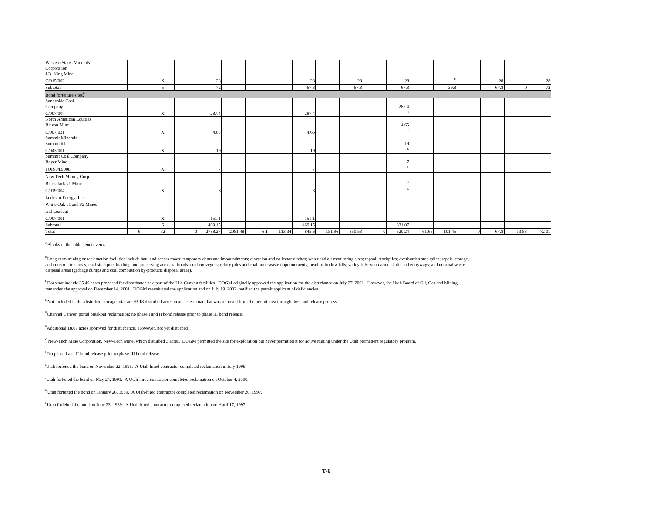| Western States Minerals<br>Corporation<br>J.B. King Mine |   |                          |         |         |     |        |        |        |        |        |       |        |      |       |       |
|----------------------------------------------------------|---|--------------------------|---------|---------|-----|--------|--------|--------|--------|--------|-------|--------|------|-------|-------|
| C/015/002                                                |   | X                        | 28      |         |     |        | 28     |        | 28     | 28     |       |        | 28   |       | 28    |
| Subtotal                                                 |   | $\overline{\phantom{0}}$ | 72      |         |     |        | 67.8   |        | 67.8   | 67.8   |       | 39.8   | 67.8 |       | 72    |
| Bond forfeiture sites. <sup>G</sup>                      |   |                          |         |         |     |        |        |        |        |        |       |        |      |       |       |
| Sunnyside Coal                                           |   |                          |         |         |     |        |        |        |        |        |       |        |      |       |       |
| Company                                                  |   |                          |         |         |     |        |        |        |        | 287.4  |       |        |      |       |       |
| C/007/007                                                |   | X                        | 287.4   |         |     |        | 287.4  |        |        |        |       |        |      |       |       |
| North American Equities<br><b>Blazon Mine</b>            |   |                          |         |         |     |        |        |        |        | 4.65   |       |        |      |       |       |
| C/007/021                                                |   | X                        | 4.65    |         |     |        | 4.65   |        |        |        |       |        |      |       |       |
| Summit Minerals<br>Summit#1                              |   |                          |         |         |     |        |        |        |        | 19     |       |        |      |       |       |
| C/043/001                                                |   | X                        | 19      |         |     |        | 19     |        |        |        |       |        |      |       |       |
| Summit Coal Company<br><b>Boyer Mine</b><br>FOR/043/008  |   | X                        |         |         |     |        |        |        |        |        |       |        |      |       |       |
|                                                          |   |                          |         |         |     |        |        |        |        |        |       |        |      |       |       |
| New Tech Mining Corp.<br>Black Jack #1 Mine<br>C/019/004 |   | X                        |         |         |     |        |        |        |        |        |       |        |      |       |       |
| Lodestar Energy, Inc.                                    |   |                          |         |         |     |        |        |        |        |        |       |        |      |       |       |
| White Oak #1 and #2 Mines                                |   |                          |         |         |     |        |        |        |        |        |       |        |      |       |       |
| and Loadout                                              |   |                          |         |         |     |        |        |        |        |        |       |        |      |       |       |
| C/007/001                                                |   | X                        | 151.1   |         |     |        | 151.1  |        |        |        |       |        |      |       |       |
| Subtotal                                                 |   | -6                       | 469.15  |         |     |        | 469.15 |        |        | 321.07 |       |        |      |       |       |
| Total                                                    | 6 | 32                       | 2788.27 | 2081.48 | 6.1 | 113.34 | 845.6  | 151.96 | 350.53 | 520.24 | 61.65 | 101.45 | 67.8 | 13.88 | 72.01 |

ABlanks in the table denote zeros.

<sup>B</sup>Long-term mining or reclamation facilities include haul and access roads; temporary dams and impoundments; diversion and collector ditches; water and air monitoring sites; topsoil stockpiles; overburden stockpiles; repa and construction areas; coal stockpile, loading, and processing areas; railroads; coal conveyors; refuse piles and coal mine waste impoundments; head-of-hollow fills; valley fills; ventilation shafts and entryways; and non disposal areas (garbage dumps and coal combustion by-products disposal areas).

 $^{\text{C}}$ Does not include 35.49 acres proposed for disturbance as a part of the Lila Canyon facilities. DOGM originally approved the application for the disturbance on July 27, 2001. However, the Utah Board of Oil, Gas and remanded the approval on December 14, 2001. DOGM reevaluated the application and on July 19, 2002, notified the permit applicant of deficiencies.

<sup>D</sup>Not included in this disturbed acreage total are 93.18 disturbed acres in an access road that was removed from the permit area through the bond release process.

EChannel Canyon portal breakout reclamation; no phase I and II bond release prior to phase III bond release.

FAdditional 18.67 acres approved for disturbance. However, not yet disturbed.

G New-Tech Mine Corporation, New-Tech Mine, which disturbed 3 acres. DOGM permitted the site for exploration but never permitted it for active mining under the Utah permanent regulatory program.

HNo phase I and II bond release prior to phase III bond release.

<sup>I</sup>Utah forfeited the bond on November 22, 1996. A Utah-hired contractor completed reclamation in July 1999.

JUtah forfeited the bond on May 24, 1991. A Utah-hired contractor completed reclamation on October 4, 2000.

<sup>K</sup>Utah forfeited the bond on January 26, 1989. A Utah-hired contractor completed reclamation on November 20, 1997.

LUtah forfeited the bond on June 23, 1989. A Utah-hired contractor completed reclamation on April 17, 1997.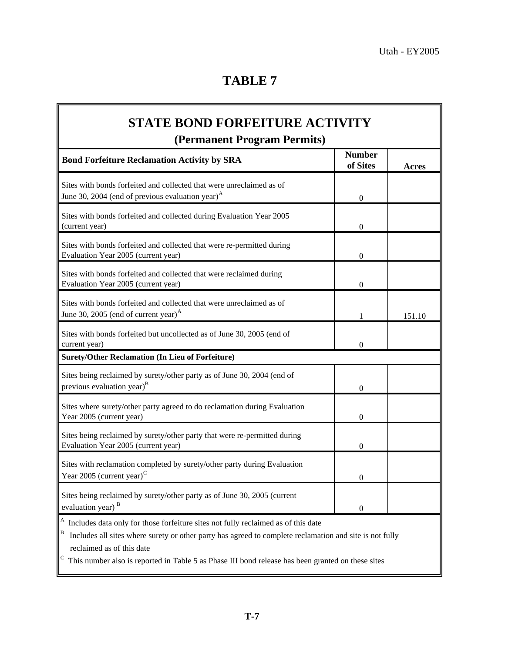| <b>STATE BOND FORFEITURE ACTIVITY</b><br>(Permanent Program Permits)                                                                                                                                                                |                           |        |  |  |  |  |  |
|-------------------------------------------------------------------------------------------------------------------------------------------------------------------------------------------------------------------------------------|---------------------------|--------|--|--|--|--|--|
| <b>Bond Forfeiture Reclamation Activity by SRA</b>                                                                                                                                                                                  | <b>Number</b><br>of Sites | Acres  |  |  |  |  |  |
| Sites with bonds forfeited and collected that were unreclaimed as of<br>June 30, 2004 (end of previous evaluation year) <sup><math>A</math></sup>                                                                                   | $\boldsymbol{0}$          |        |  |  |  |  |  |
| Sites with bonds forfeited and collected during Evaluation Year 2005<br>(current year)                                                                                                                                              | $\mathbf{0}$              |        |  |  |  |  |  |
| Sites with bonds forfeited and collected that were re-permitted during<br>Evaluation Year 2005 (current year)                                                                                                                       | $\mathbf{0}$              |        |  |  |  |  |  |
| Sites with bonds forfeited and collected that were reclaimed during<br>Evaluation Year 2005 (current year)                                                                                                                          | $\boldsymbol{0}$          |        |  |  |  |  |  |
| Sites with bonds forfeited and collected that were unreclaimed as of<br>June 30, 2005 (end of current year) <sup><math>A</math></sup>                                                                                               | 1                         | 151.10 |  |  |  |  |  |
| Sites with bonds forfeited but uncollected as of June 30, 2005 (end of<br>current year)                                                                                                                                             | $\mathbf{0}$              |        |  |  |  |  |  |
| <b>Surety/Other Reclamation (In Lieu of Forfeiture)</b>                                                                                                                                                                             |                           |        |  |  |  |  |  |
| Sites being reclaimed by surety/other party as of June 30, 2004 (end of<br>previous evaluation year) <sup>B</sup>                                                                                                                   | $\boldsymbol{0}$          |        |  |  |  |  |  |
| Sites where surety/other party agreed to do reclamation during Evaluation<br>Year 2005 (current year)                                                                                                                               | $\overline{0}$            |        |  |  |  |  |  |
| Sites being reclaimed by surety/other party that were re-permitted during<br>Evaluation Year 2005 (current year)                                                                                                                    | $\overline{0}$            |        |  |  |  |  |  |
| Sites with reclamation completed by surety/other party during Evaluation<br>Year 2005 (current year) <sup><math>C</math></sup>                                                                                                      | $\boldsymbol{0}$          |        |  |  |  |  |  |
| Sites being reclaimed by surety/other party as of June 30, 2005 (current<br>evaluation year) <sup>B</sup>                                                                                                                           | $\theta$                  |        |  |  |  |  |  |
| A<br>Includes data only for those forfeiture sites not fully reclaimed as of this date<br>B<br>Includes all sites where surety or other party has agreed to complete reclamation and site is not fully<br>reclaimed as of this date |                           |        |  |  |  |  |  |

 $\mathbb{C}$  This number also is reported in Table 5 as Phase III bond release has been granted on these sites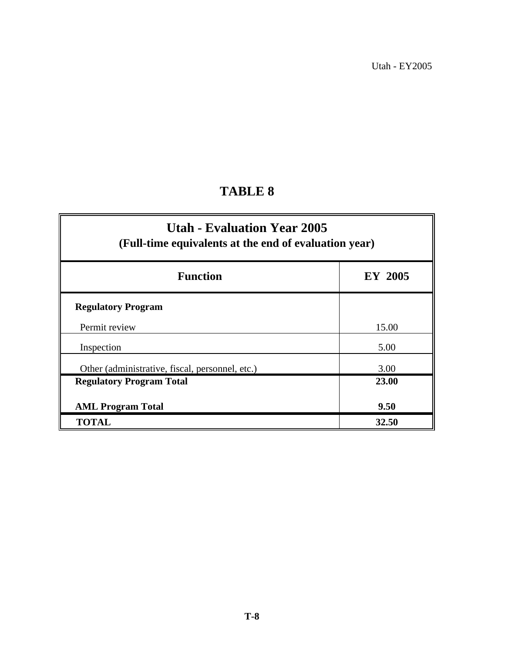# **TABLE 8**

| <b>Utah - Evaluation Year 2005</b><br>(Full-time equivalents at the end of evaluation year) |         |  |  |  |  |  |  |  |
|---------------------------------------------------------------------------------------------|---------|--|--|--|--|--|--|--|
| <b>Function</b>                                                                             | EY 2005 |  |  |  |  |  |  |  |
| <b>Regulatory Program</b>                                                                   |         |  |  |  |  |  |  |  |
| Permit review                                                                               | 15.00   |  |  |  |  |  |  |  |
| Inspection                                                                                  | 5.00    |  |  |  |  |  |  |  |
| Other (administrative, fiscal, personnel, etc.)                                             | 3.00    |  |  |  |  |  |  |  |
| <b>Regulatory Program Total</b>                                                             | 23.00   |  |  |  |  |  |  |  |
| <b>AML Program Total</b>                                                                    | 9.50    |  |  |  |  |  |  |  |
| <b>TOTAL</b>                                                                                | 32.50   |  |  |  |  |  |  |  |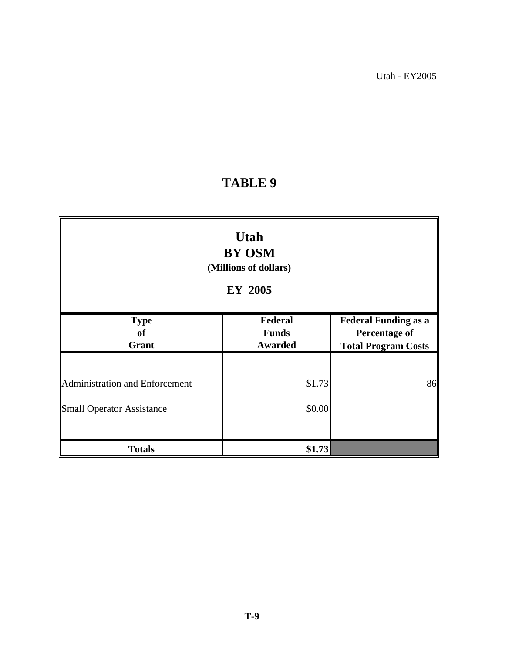# **TABLE 9**

| <b>Utah</b><br><b>BY OSM</b><br>(Millions of dollars)<br>EY 2005 |                                           |                                                                                   |  |  |  |  |  |  |  |
|------------------------------------------------------------------|-------------------------------------------|-----------------------------------------------------------------------------------|--|--|--|--|--|--|--|
| <b>Type</b><br><b>of</b><br>Grant                                | Federal<br><b>Funds</b><br><b>Awarded</b> | <b>Federal Funding as a</b><br><b>Percentage of</b><br><b>Total Program Costs</b> |  |  |  |  |  |  |  |
| Administration and Enforcement                                   | \$1.73                                    | 86                                                                                |  |  |  |  |  |  |  |
| <b>Small Operator Assistance</b>                                 | \$0.00                                    |                                                                                   |  |  |  |  |  |  |  |
| <b>Totals</b>                                                    | \$1.73                                    |                                                                                   |  |  |  |  |  |  |  |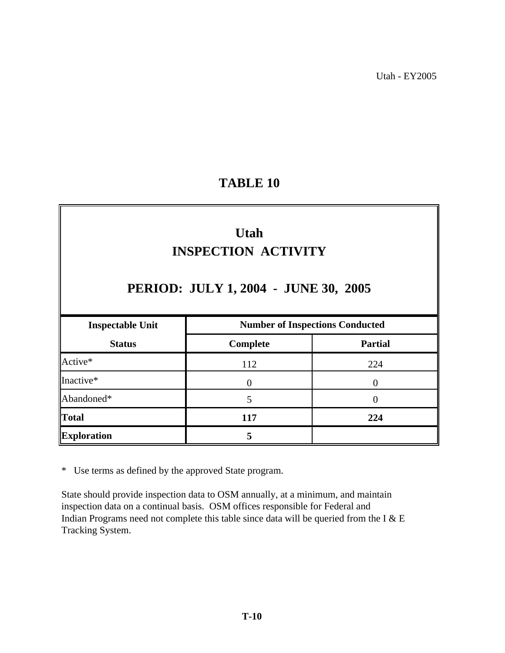# **TABLE 10**

# **Utah INSPECTION ACTIVITY**

# **PERIOD: JULY 1, 2004 - JUNE 30, 2005**

| <b>Inspectable Unit</b> | <b>Number of Inspections Conducted</b> |                |  |
|-------------------------|----------------------------------------|----------------|--|
| <b>Status</b>           | Complete                               | <b>Partial</b> |  |
| Active*                 | 112                                    | 224            |  |
| Inactive*               |                                        |                |  |
| Abandoned*              |                                        |                |  |
| <b>Total</b>            | 117                                    | 224            |  |
| <b>Exploration</b>      |                                        |                |  |

\* Use terms as defined by the approved State program.

inspection data on a continual basis. OSM offices responsible for Federal and Indian Programs need not complete this table since data will be queried from the I & E State should provide inspection data to OSM annually, at a minimum, and maintain Tracking System.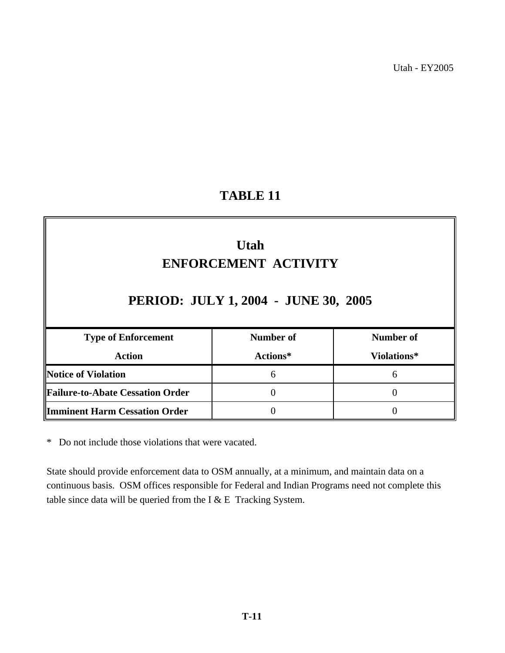# **TABLE 11**

| <b>Utah</b><br><b>ENFORCEMENT ACTIVITY</b><br>PERIOD: JULY 1, 2004 - JUNE 30, 2005 |                  |                  |  |  |  |
|------------------------------------------------------------------------------------|------------------|------------------|--|--|--|
| <b>Type of Enforcement</b>                                                         | <b>Number of</b> | <b>Number of</b> |  |  |  |
| <b>Action</b>                                                                      | Actions*         | Violations*      |  |  |  |
| <b>Notice of Violation</b>                                                         | 6                | 6                |  |  |  |
| <b>Failure-to-Abate Cessation Order</b>                                            | 0                | $\theta$         |  |  |  |
| <b>Imminent Harm Cessation Order</b>                                               | 0                | 0                |  |  |  |

\* Do not include those violations that were vacated.

continuous basis. OSM offices responsible for Federal and Indian Programs need not complete this table since data will be queried from the I  $&E$  Tracking System. State should provide enforcement data to OSM annually, at a minimum, and maintain data on a